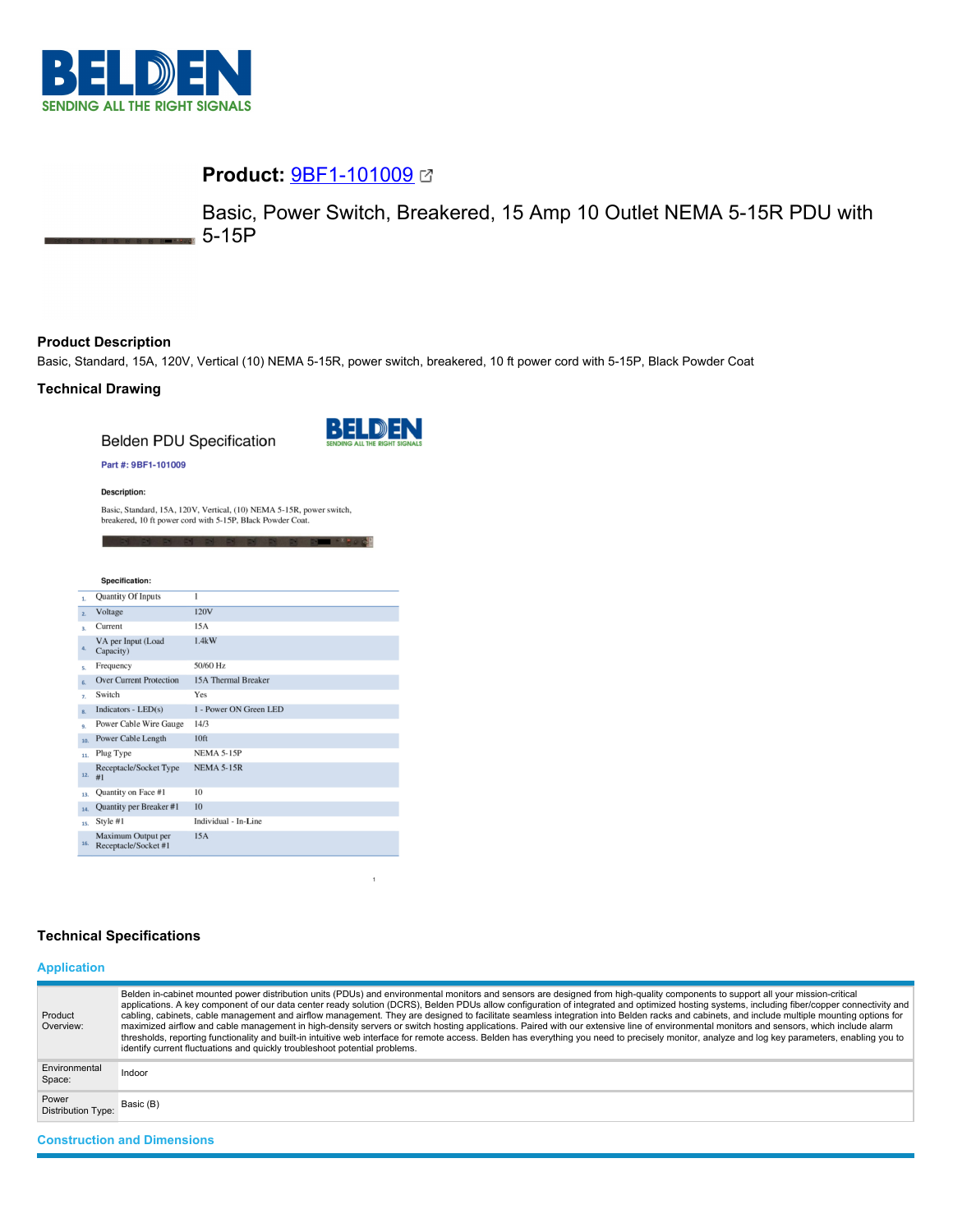

# **Product:** [9BF1-101009](https://catalog.belden.com/index.cfm?event=pd&p=PF_9BF1101009&tab=downloads)

Basic, Power Switch, Breakered, 15 Amp 10 Outlet NEMA 5-15R PDU with 5-15P

## **Product Description**

Basic, Standard, 15A, 120V, Vertical (10) NEMA 5-15R, power switch, breakered, 10 ft power cord with 5-15P, Black Powder Coat

## **Technical Drawing**

**Belden PDU Specification** 



**DE DE PARADE** 

### Part #: 9BF1-101009

**Description:** 

Basic, Standard, 15A, 120V, Vertical, (10) NEMA 5-15R, power switch, breakered, 10 ft power cord with 5-15P, Black Powder Coat.

|                | Specification:                             |                        |
|----------------|--------------------------------------------|------------------------|
| $\mathbf{1}$   | <b>Quantity Of Inputs</b>                  | $\overline{1}$         |
| $\overline{2}$ | Voltage                                    | 120V                   |
| ą.             | Current                                    | 15A                    |
| 4.             | VA per Input (Load<br>Capacity)            | 1.4kW                  |
| s.             | Frequency                                  | 50/60 Hz               |
| 6.             | <b>Over Current Protection</b>             | 15A Thermal Breaker    |
| 7.             | Switch                                     | Yes                    |
| $\mathbf{R}$   | Indicators - $LED(s)$                      | 1 - Power ON Green LED |
| 9.             | Power Cable Wire Gauge                     | 14/3                   |
| 10.            | Power Cable Length                         | 10 <sup>ft</sup>       |
| 11.            | Plug Type                                  | <b>NEMA 5-15P</b>      |
| 12.            | Receptacle/Socket Type<br>#1               | <b>NEMA 5-15R</b>      |
| 13.            | Quantity on Face #1                        | 10                     |
| 14.            | Quantity per Breaker #1                    | 10                     |
| 15.            | Style #1                                   | Individual - In-Line   |
| 16.            | Maximum Output per<br>Receptacle/Socket #1 | 15A                    |

## **Technical Specifications**

## **Application**

| Product<br>Overview:               | Belden in-cabinet mounted power distribution units (PDUs) and environmental monitors and sensors are designed from high-quality components to support all your mission-critical<br>applications. A key component of our data center ready solution (DCRS), Belden PDUs allow configuration of integrated and optimized hosting systems, including fiber/copper connectivity and<br>cabling, cabinets, cable management and airflow management. They are designed to facilitate seamless integration into Belden racks and cabinets, and include multiple mounting options for<br>maximized airflow and cable management in high-density servers or switch hosting applications. Paired with our extensive line of environmental monitors and sensors, which include alarm<br>thresholds, reporting functionality and built-in intuitive web interface for remote access. Belden has everything you need to precisely monitor, analyze and log key parameters, enabling you to<br>identify current fluctuations and quickly troubleshoot potential problems. |
|------------------------------------|-------------------------------------------------------------------------------------------------------------------------------------------------------------------------------------------------------------------------------------------------------------------------------------------------------------------------------------------------------------------------------------------------------------------------------------------------------------------------------------------------------------------------------------------------------------------------------------------------------------------------------------------------------------------------------------------------------------------------------------------------------------------------------------------------------------------------------------------------------------------------------------------------------------------------------------------------------------------------------------------------------------------------------------------------------------|
| Environmental<br>Space:            | Indoor                                                                                                                                                                                                                                                                                                                                                                                                                                                                                                                                                                                                                                                                                                                                                                                                                                                                                                                                                                                                                                                      |
| Power<br><b>Distribution Type:</b> | Basic (B)                                                                                                                                                                                                                                                                                                                                                                                                                                                                                                                                                                                                                                                                                                                                                                                                                                                                                                                                                                                                                                                   |
| <b>Construction and Dimensions</b> |                                                                                                                                                                                                                                                                                                                                                                                                                                                                                                                                                                                                                                                                                                                                                                                                                                                                                                                                                                                                                                                             |